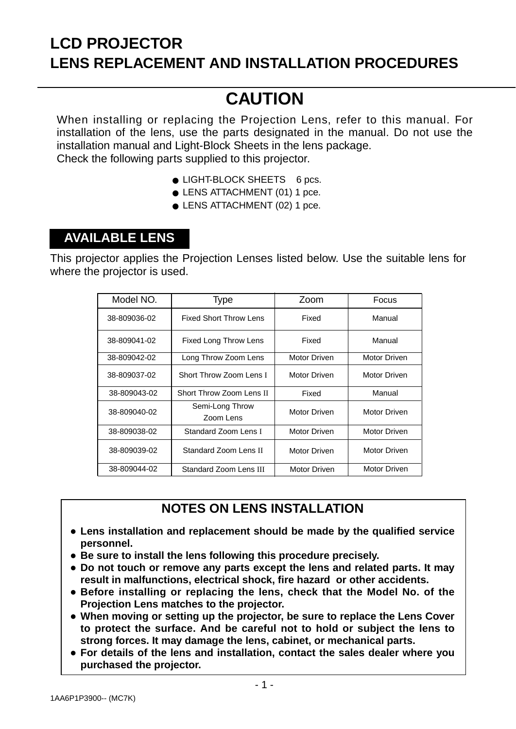## **LCD PROJECTOR LENS REPLACEMENT AND INSTALLATION PROCEDURES**

# **CAUTION**

When installing or replacing the Projection Lens, refer to this manual. For installation of the lens, use the parts designated in the manual. Do not use the installation manual and Light-Block Sheets in the lens package. Check the following parts supplied to this projector.

- LIGHT-BLOCK SHEETS 6 pcs.
- LENS ATTACHMENT (01) 1 pce.
- LENS ATTACHMENT (02) 1 pce.

### **AVAILABLE LENS**

This projector applies the Projection Lenses listed below. Use the suitable lens for where the projector is used.

| Model NO.    | <b>Type</b>                   | Zoom         | Focus               |
|--------------|-------------------------------|--------------|---------------------|
| 38-809036-02 | <b>Fixed Short Throw Lens</b> | Fixed        | Manual              |
| 38-809041-02 | Fixed Long Throw Lens         | Fixed        | Manual              |
| 38-809042-02 | Long Throw Zoom Lens          | Motor Driven | Motor Driven        |
| 38-809037-02 | Short Throw Zoom Lens I       | Motor Driven | Motor Driven        |
| 38-809043-02 | Short Throw Zoom Lens II      | Fixed        | Manual              |
| 38-809040-02 | Semi-Long Throw<br>Zoom Lens  | Motor Driven | Motor Driven        |
| 38-809038-02 | Standard Zoom Lens I          | Motor Driven | Motor Driven        |
| 38-809039-02 | Standard Zoom Lens II         | Motor Driven | Motor Driven        |
| 38-809044-02 | Standard Zoom Lens III        | Motor Driven | <b>Motor Driven</b> |

#### **NOTES ON LENS INSTALLATION**

- **Lens installation and replacement should be made by the qualified service personnel.**
- **Be sure to install the lens following this procedure precisely.**
- **Do not touch or remove any parts except the lens and related parts. It may result in malfunctions, electrical shock, fire hazard or other accidents.**
- **Before installing or replacing the lens, check that the Model No. of the Projection Lens matches to the projector.**
- **When moving or setting up the projector, be sure to replace the Lens Cover to protect the surface. And be careful not to hold or subject the lens to strong forces. It may damage the lens, cabinet, or mechanical parts.**
- **For details of the lens and installation, contact the sales dealer where you purchased the projector.**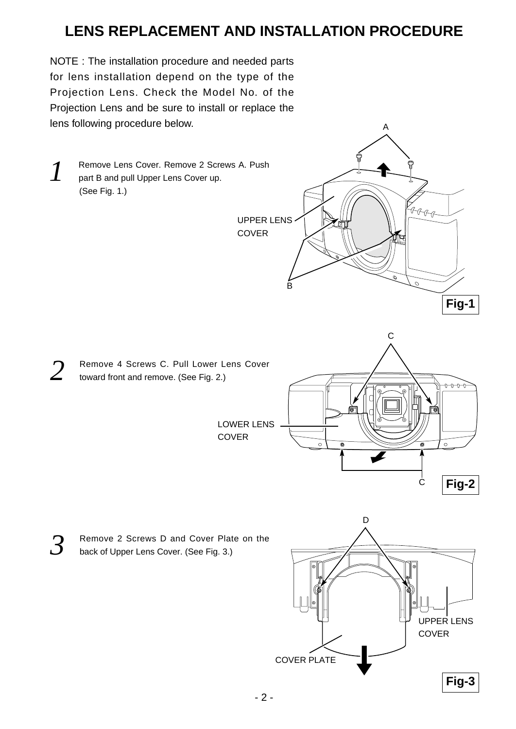## **LENS REPLACEMENT AND INSTALLATION PROCEDURE**

UPPER LENS

B

**COVER** 

NOTE : The installation procedure and needed parts for lens installation depend on the type of the Projection Lens. Check the Model No. of the Projection Lens and be sure to install or replace the lens following procedure below.

**1** Remove Lens Cover. Remove 2 Screws A. Push<br>part B and pull Upper Lens Cover up part B and pull Upper Lens Cover up. (See Fig. 1.)

- 2 Remove 4 Screws C. Pull Lower Lens Cover<br>toward front and remove. (See Fig. 2.) toward front and remove. (See Fig. 2.)
	- LOWER LENS **COVER**



A

y<br>RRRR

**Fig-1**

**3** Remove 2 Screws D and Cover Plate on the<br>**3** back of Upper Laps Cover (See Fig. 3.) back of Upper Lens Cover. (See Fig. 3.)

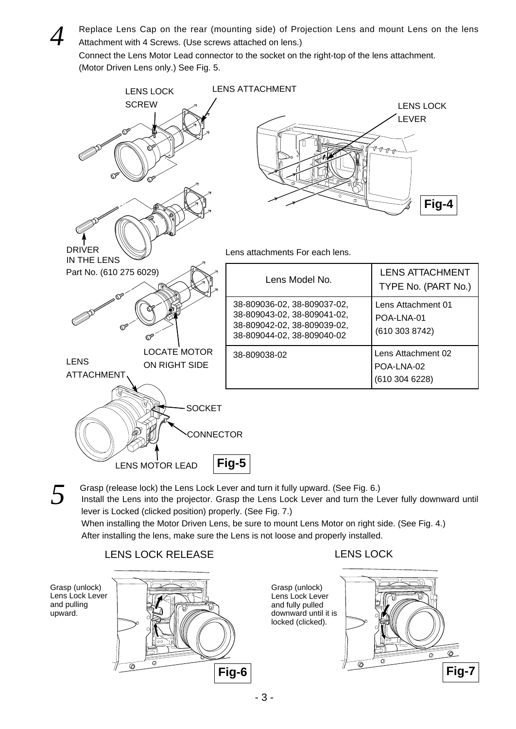*4* Replace Lens Cap on the rear (mounting side) of Projection Lens and mount Lens on the lens Attachment with 4 Screws. (Use screws attached on lens.)

Connect the Lens Motor Lead connector to the socket on the right-top of the lens attachment. (Motor Driven Lens only.) See Fig. 5.



Grasp (release lock) the Lens Lock Lever and turn it fully upward. (See Fig. 6.)<br>Install the Lens into the projector. Grasp the Lens Lock Lever and turn the Lever fully downward until lever is Locked (clicked position) properly. (See Fig. 7.)

When installing the Motor Driven Lens, be sure to mount Lens Motor on right side. (See Fig. 4.) After installing the lens, make sure the Lens is not loose and properly installed.

> Grasp (unlock) Lens Lock Lever and fully pulled

locked (clicked).

#### LENS LOCK RELEASE LENS LOCK

Grasp (unlock) Lens Lock Lever and pulling upward.



downward until it is  $\circledcirc$  $\overline{\mathcal{O}}$  $\overline{\circ}$ **Fig-7**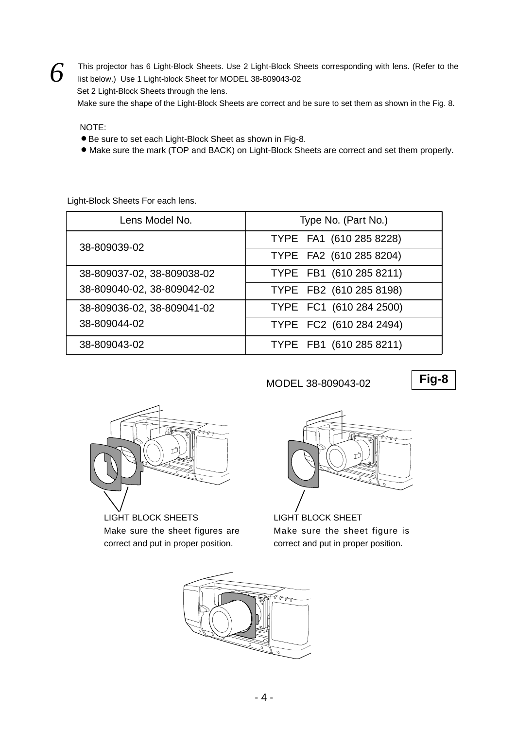**6** This projector has 6 Light-Block Sheets. Use 2 Light-Block Sheets corresponding with lens. (Refer to the light block Sheets corresponding with lens. (Refer to the list below.) Use 1 Light-block Sheet for MODEL 38-809043-02 Set 2 Light-Block Sheets through the lens. Make sure the shape of the Light-Block Sheets are correct and be sure to set them as shown in the Fig. 8.

NOTE:

- Be sure to set each Light-Block Sheet as shown in Fig-8.
- Make sure the mark (TOP and BACK) on Light-Block Sheets are correct and set them properly.

Light-Block Sheets For each lens.

| Lens Model No.             | Type No. (Part No.)     |
|----------------------------|-------------------------|
| 38-809039-02               | TYPE FA1 (610 285 8228) |
|                            | TYPE FA2 (610 285 8204) |
| 38-809037-02, 38-809038-02 | TYPE FB1 (610 285 8211) |
| 38-809040-02, 38-809042-02 | TYPE FB2 (610 285 8198) |
| 38-809036-02, 38-809041-02 | TYPE FC1 (610 284 2500) |
| 38-809044-02               | TYPE FC2 (610 284 2494) |
| 38-809043-02               | TYPE FB1 (610 285 8211) |

MODEL 38-809043-02

**Fig-8**



LIGHT BLOCK SHEETS Make sure the sheet figures are correct and put in proper position.



LIGHT BLOCK SHEET Make sure the sheet figure is correct and put in proper position.

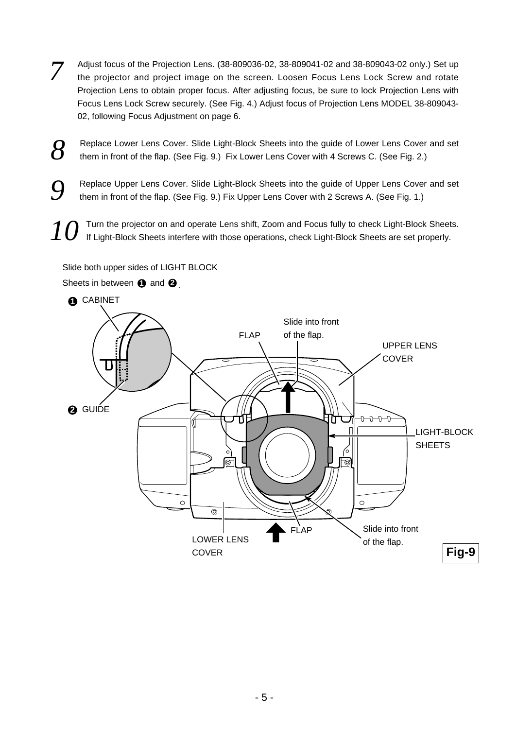- *7* Adjust focus of the Projection Lens. (38-809036-02, 38-809041-02 and 38-809043-02 only.) Set up the projector and project image on the screen. Loosen Focus Lens Lock Screw and rotate Projection Lens to obtain proper focus. After adjusting focus, be sure to lock Projection Lens with Focus Lens Lock Screw securely. (See Fig. 4.) Adjust focus of Projection Lens MODEL 38-809043- 02, following Focus Adjustment on page 6.
- **8** Replace Lower Lens Cover. Slide Light-Block Sheets into the guide of Lower Lens Cover and set them in front of the flap. (See Fig. 9.) Fix Lower Lens Cover with 4 Screws C. (See Fig. 2.) them in front of the flap. (See Fig. 9.) Fix Lower Lens Cover with 4 Screws C. (See Fig. 2.)
- **9** Replace Upper Lens Cover. Slide Light-Block Sheets into the guide of Upper Lens Cover and set them in front of the flap. (See Fig. 9.) Fix Upper Lens Cover with 2 Screws A. (See Fig. 1.)
- Turn the projector on and operate Lens shift, Zoom and Focus fully to check Light-Block Sheets. If Light-Block Sheets interfere with those operations, check Light-Block Sheets are set properly.

Slide both upper sides of LIGHT BLOCK

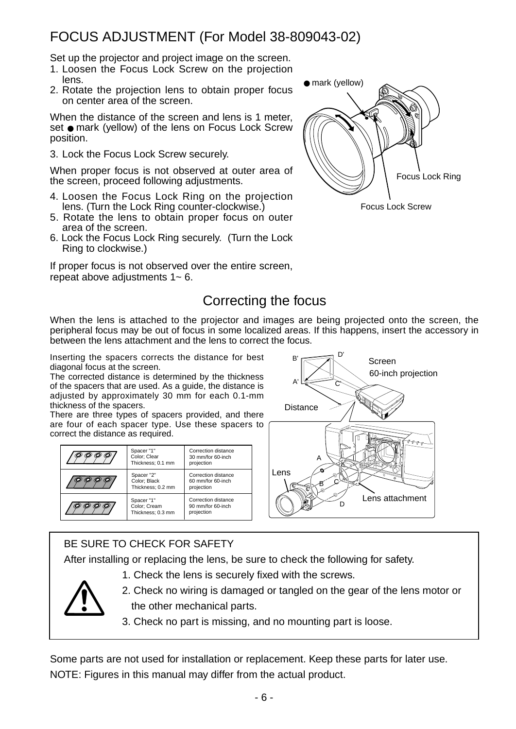## FOCUS ADJUSTMENT (For Model 38-809043-02)

Set up the projector and project image on the screen.

- 1. Loosen the Focus Lock Screw on the projection lens.
- 2. Rotate the projection lens to obtain proper focus on center area of the screen.

When the distance of the screen and lens is 1 meter, set ● mark (yellow) of the lens on Focus Lock Screw position.

3. Lock the Focus Lock Screw securely.

When proper focus is not observed at outer area of the screen, proceed following adjustments.

- 4. Loosen the Focus Lock Ring on the projection lens. (Turn the Lock Ring counter-clockwise.)
- 5. Rotate the lens to obtain proper focus on outer area of the screen.
- 6. Lock the Focus Lock Ring securely. (Turn the Lock Ring to clockwise.)

If proper focus is not observed over the entire screen, repeat above adjustments 1~ 6.



## Correcting the focus

When the lens is attached to the projector and images are being projected onto the screen, the peripheral focus may be out of focus in some localized areas. If this happens, insert the accessory in between the lens attachment and the lens to correct the focus.

Inserting the spacers corrects the distance for best  $B \rightarrow B'$  Screen diagonal focus at the screen.

The corrected distance is determined by the thickness of the spacers that are used. As a guide, the distance is adjusted by approximately 30 mm for each 0.1-mm thickness of the spacers.

There are three types of spacers provided, and there are four of each spacer type. Use these spacers to correct the distance as required.

| Spacer "1"<br>Color; Clear<br>Thickness; 0.1 mm | Correction distance<br>30 mm/for 60-inch<br>projection |
|-------------------------------------------------|--------------------------------------------------------|
| Spacer "2"<br>Color; Black<br>Thickness: 0.2 mm | Correction distance<br>60 mm/for 60-inch<br>projection |
| Spacer "1"<br>Color; Cream<br>Thickness: 0.3 mm | Correction distance<br>90 mm/for 60-inch<br>projection |



#### BE SURE TO CHECK FOR SAFETY

After installing or replacing the lens, be sure to check the following for safety.

1. Check the lens is securely fixed with the screws.



- 2. Check no wiring is damaged or tangled on the gear of the lens motor or the other mechanical parts.
- 3. Check no part is missing, and no mounting part is loose.

Some parts are not used for installation or replacement. Keep these parts for later use. NOTE: Figures in this manual may differ from the actual product.